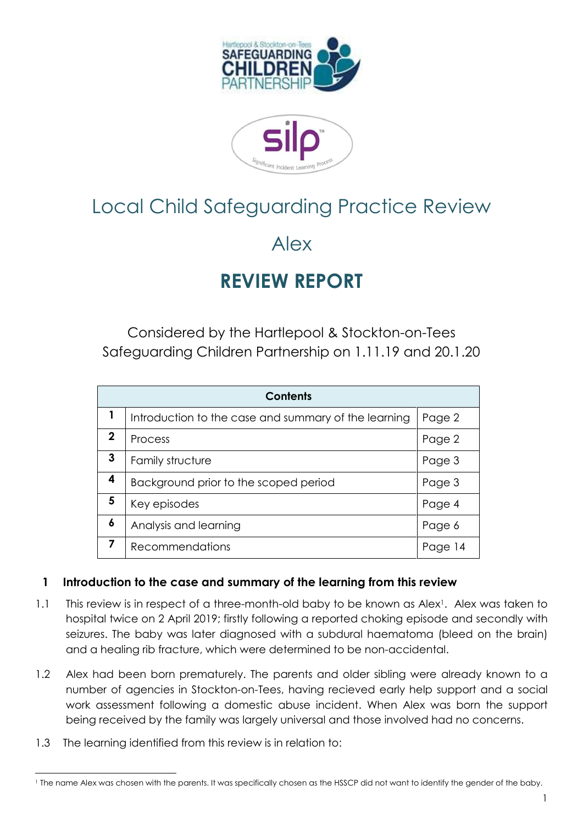

# Local Child Safeguarding Practice Review

# Alex

# **REVIEW REPORT**

Considered by the Hartlepool & Stockton-on-Tees Safeguarding Children Partnership on 1.11.19 and 20.1.20

| <b>Contents</b> |                                                      |        |  |
|-----------------|------------------------------------------------------|--------|--|
| 1               | Introduction to the case and summary of the learning | Page 2 |  |
| $\mathbf 2$     | Process                                              | Page 2 |  |
| 3               | Family structure                                     | Page 3 |  |
| 4               | Background prior to the scoped period                | Page 3 |  |
| 5               | Key episodes                                         | Page 4 |  |
| 6               | Analysis and learning                                | Page 6 |  |
| 7               | <b>Recommendations</b>                               | Paa    |  |

# **1 Introduction to the case and summary of the learning from this review**

- 1.1 This review is in respect of a three-month-old baby to be known as Alex<sup>1</sup>. Alex was taken to hospital twice on 2 April 2019; firstly following a reported choking episode and secondly with seizures. The baby was later diagnosed with a subdural haematoma (bleed on the brain) and a healing rib fracture, which were determined to be non-accidental.
- 1.2 Alex had been born prematurely. The parents and older sibling were already known to a number of agencies in Stockton-on-Tees, having recieved early help support and a social work assessment following a domestic abuse incident. When Alex was born the support being received by the family was largely universal and those involved had no concerns.
- 1.3 The learning identified from this review is in relation to:

 $\overline{a}$ <sup>1</sup> The name Alex was chosen with the parents. It was specifically chosen as the HSSCP did not want to identify the gender of the baby.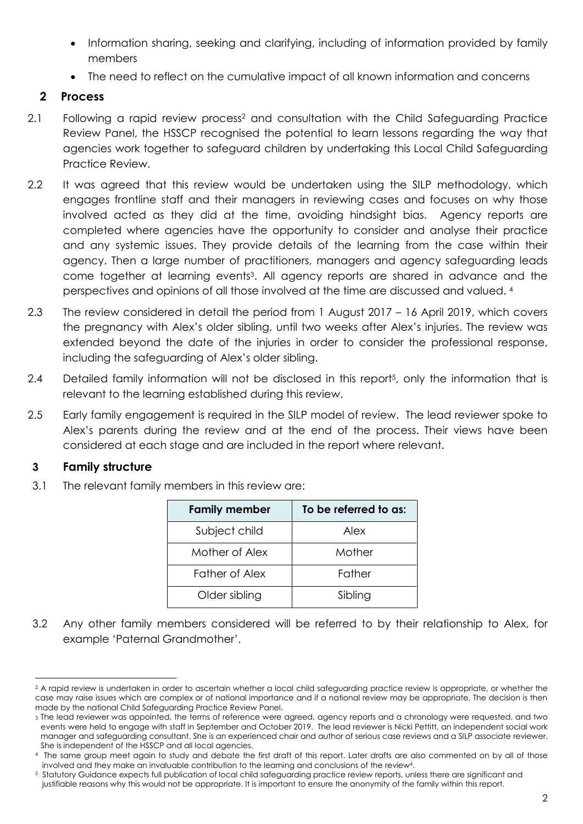- Information sharing, seeking and clarifying, including of information provided by family members
- The need to reflect on the cumulative impact of all known information and concerns

# **2 Process**

- 2.1 Following a rapid review process<sup>2</sup> and consultation with the Child Safeguarding Practice Review Panel, the HSSCP recognised the potential to learn lessons regarding the way that agencies work together to safeguard children by undertaking this Local Child Safeguarding Practice Review.
- 2.2 It was agreed that this review would be undertaken using the SILP methodology, which engages frontline staff and their managers in reviewing cases and focuses on why those involved acted as they did at the time, avoiding hindsight bias. Agency reports are completed where agencies have the opportunity to consider and analyse their practice and any systemic issues. They provide details of the learning from the case within their agency. Then a large number of practitioners, managers and agency safeguarding leads come together at learning events 3 . All agency reports are shared in advance and the perspectives and opinions of all those involved at the time are discussed and valued. <sup>4</sup>
- 2.3 The review considered in detail the period from 1 August 2017 16 April 2019, which covers the pregnancy with Alex's older sibling, until two weeks after Alex's injuries. The review was extended beyond the date of the injuries in order to consider the professional response, including the safeguarding of Alex's older sibling.
- 2.4 Detailed family information will not be disclosed in this report<sup>5</sup>, only the information that is relevant to the learning established during this review.
- 2.5 Early family engagement is required in the SILP model of review. The lead reviewer spoke to Alex's parents during the review and at the end of the process. Their views have been considered at each stage and are included in the report where relevant.

#### **3 Family structure**

-

3.1 The relevant family members in this review are:

| <b>Family member</b>  | To be referred to as: |
|-----------------------|-----------------------|
| Subject child         | Alex                  |
| Mother of Alex        | Mother                |
| <b>Father of Alex</b> | Father                |
| Older sibling         | Sibling               |

3.2 Any other family members considered will be referred to by their relationship to Alex, for example 'Paternal Grandmother'.

<sup>&</sup>lt;sup>2</sup> A rapid review is undertaken in order to ascertain whether a local child safeguarding practice review is appropriate, or whether the case may raise issues which are complex or of national importance and if a national review may be appropriate. The decision is then made by the national Child Safeguarding Practice Review Panel.

<sup>3</sup> The lead reviewer was appointed, the terms of reference were agreed, agency reports and a chronology were requested, and two events were held to engage with staff in September and October 2019. The lead reviewer is Nicki Pettitt, an independent social work manager and safeguarding consultant. She is an experienced chair and author of serious case reviews and a SILP associate reviewer. She is independent of the HSSCP and all local agencies.

<sup>4</sup> The same group meet again to study and debate the first draft of this report. Later drafts are also commented on by all of those involved and they make an invaluable contribution to the learning and conclusions of the review4.

<sup>5</sup> Statutory Guidance expects full publication of local child safeguarding practice review reports, unless there are significant and justifiable reasons why this would not be appropriate. It is important to ensure the anonymity of the family within this report.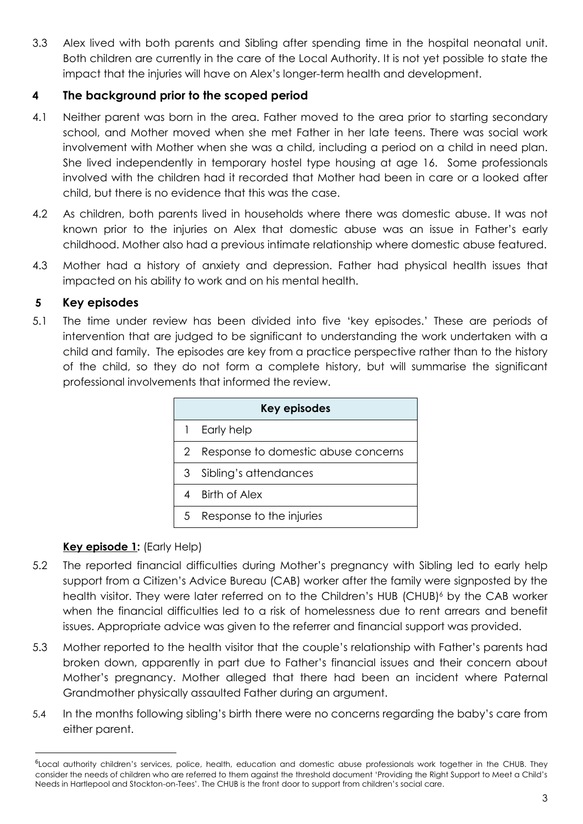3.3 Alex lived with both parents and Sibling after spending time in the hospital neonatal unit. Both children are currently in the care of the Local Authority. It is not yet possible to state the impact that the injuries will have on Alex's longer-term health and development.

### **4 The background prior to the scoped period**

- 4.1 Neither parent was born in the area. Father moved to the area prior to starting secondary school, and Mother moved when she met Father in her late teens. There was social work involvement with Mother when she was a child, including a period on a child in need plan. She lived independently in temporary hostel type housing at age 16. Some professionals involved with the children had it recorded that Mother had been in care or a looked after child, but there is no evidence that this was the case.
- 4.2 As children, both parents lived in households where there was domestic abuse. It was not known prior to the injuries on Alex that domestic abuse was an issue in Father's early childhood. Mother also had a previous intimate relationship where domestic abuse featured.
- 4.3 Mother had a history of anxiety and depression. Father had physical health issues that impacted on his ability to work and on his mental health.

# **5 Key episodes**

5.1 The time under review has been divided into five 'key episodes.' These are periods of intervention that are judged to be significant to understanding the work undertaken with a child and family. The episodes are key from a practice perspective rather than to the history of the child, so they do not form a complete history, but will summarise the significant professional involvements that informed the review.

| <b>Key episodes</b> |                                     |  |  |
|---------------------|-------------------------------------|--|--|
|                     | Early help                          |  |  |
| 2                   | Response to domestic abuse concerns |  |  |
| 3                   | Sibling's attendances               |  |  |
|                     | <b>Birth of Alex</b>                |  |  |
| 5                   | Response to the injuries            |  |  |

# **Key episode 1:** (Early Help)

-

- 5.2 The reported financial difficulties during Mother's pregnancy with Sibling led to early help support from a Citizen's Advice Bureau (CAB) worker after the family were signposted by the health visitor. They were later referred on to the Children's HUB (CHUB)<sup>6</sup> by the CAB worker when the financial difficulties led to a risk of homelessness due to rent arrears and benefit issues. Appropriate advice was given to the referrer and financial support was provided.
- 5.3 Mother reported to the health visitor that the couple's relationship with Father's parents had broken down, apparently in part due to Father's financial issues and their concern about Mother's pregnancy. Mother alleged that there had been an incident where Paternal Grandmother physically assaulted Father during an argument.
- 5.4 In the months following sibling's birth there were no concerns regarding the baby's care from either parent.

<sup>&</sup>lt;sup>6</sup>Local authority children's services, police, health, education and domestic abuse professionals work together in the CHUB. They consider the needs of children who are referred to them against the threshold document 'Providing the Right Support to Meet a Child's Needs in Hartlepool and Stockton-on-Tees'. The CHUB is the front door to support from children's social care.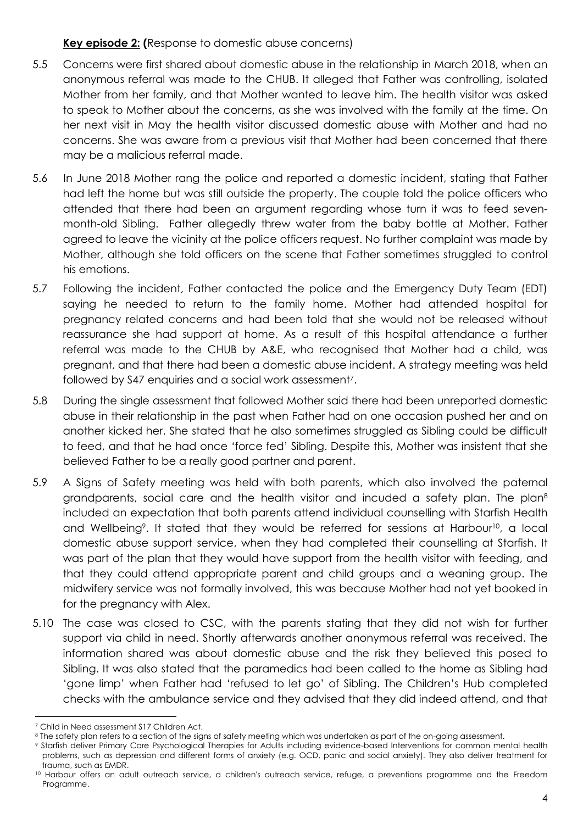#### **Key episode 2: (**Response to domestic abuse concerns)

- 5.5 Concerns were first shared about domestic abuse in the relationship in March 2018, when an anonymous referral was made to the CHUB. It alleged that Father was controlling, isolated Mother from her family, and that Mother wanted to leave him. The health visitor was asked to speak to Mother about the concerns, as she was involved with the family at the time. On her next visit in May the health visitor discussed domestic abuse with Mother and had no concerns. She was aware from a previous visit that Mother had been concerned that there may be a malicious referral made.
- 5.6 In June 2018 Mother rang the police and reported a domestic incident, stating that Father had left the home but was still outside the property. The couple told the police officers who attended that there had been an argument regarding whose turn it was to feed sevenmonth-old Sibling. Father allegedly threw water from the baby bottle at Mother. Father agreed to leave the vicinity at the police officers request. No further complaint was made by Mother, although she told officers on the scene that Father sometimes struggled to control his emotions.
- 5.7 Following the incident, Father contacted the police and the Emergency Duty Team (EDT) saying he needed to return to the family home. Mother had attended hospital for pregnancy related concerns and had been told that she would not be released without reassurance she had support at home. As a result of this hospital attendance a further referral was made to the CHUB by A&E, who recognised that Mother had a child, was pregnant, and that there had been a domestic abuse incident. A strategy meeting was held followed by S47 enquiries and a social work assessment<sup>7</sup>.
- 5.8 During the single assessment that followed Mother said there had been unreported domestic abuse in their relationship in the past when Father had on one occasion pushed her and on another kicked her. She stated that he also sometimes struggled as Sibling could be difficult to feed, and that he had once 'force fed' Sibling. Despite this, Mother was insistent that she believed Father to be a really good partner and parent.
- 5.9 A Signs of Safety meeting was held with both parents, which also involved the paternal grandparents, social care and the health visitor and incuded a safety plan. The plan<sup>8</sup> included an expectation that both parents attend individual counselling with Starfish Health and Wellbeing<sup>9</sup>. It stated that they would be referred for sessions at Harbour<sup>10</sup>, a local domestic abuse support service, when they had completed their counselling at Starfish. It was part of the plan that they would have support from the health visitor with feeding, and that they could attend appropriate parent and child groups and a weaning group. The midwifery service was not formally involved, this was because Mother had not yet booked in for the pregnancy with Alex.
- 5.10 The case was closed to CSC, with the parents stating that they did not wish for further support via child in need. Shortly afterwards another anonymous referral was received. The information shared was about domestic abuse and the risk they believed this posed to Sibling. It was also stated that the paramedics had been called to the home as Sibling had 'gone limp' when Father had 'refused to let go' of Sibling. The Children's Hub completed checks with the ambulance service and they advised that they did indeed attend, and that

 $\overline{a}$ <sup>7</sup> Child in Need assessment S17 Children Act.

<sup>&</sup>lt;sup>8</sup> The safety plan refers to a section of the signs of safety meeting which was undertaken as part of the on-going assessment.

<sup>9</sup> Starfish deliver Primary Care Psychological Therapies for Adults including evidence-based Interventions for common mental health problems, such as depression and different forms of anxiety (e.g. OCD, panic and social anxiety). They also deliver treatment for trauma, such as EMDR.

<sup>10</sup> Harbour offers an adult outreach service, a children's outreach service, refuge, a preventions programme and the Freedom Programme.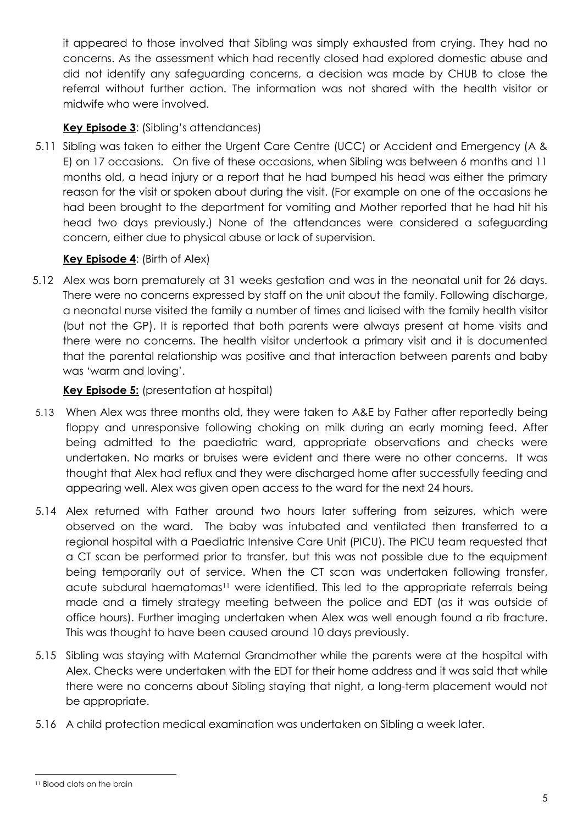it appeared to those involved that Sibling was simply exhausted from crying. They had no concerns. As the assessment which had recently closed had explored domestic abuse and did not identify any safeguarding concerns, a decision was made by CHUB to close the referral without further action. The information was not shared with the health visitor or midwife who were involved.

### **Key Episode 3**: (Sibling's attendances)

5.11 Sibling was taken to either the Urgent Care Centre (UCC) or Accident and Emergency (A & E) on 17 occasions. On five of these occasions, when Sibling was between 6 months and 11 months old, a head injury or a report that he had bumped his head was either the primary reason for the visit or spoken about during the visit. (For example on one of the occasions he had been brought to the department for vomiting and Mother reported that he had hit his head two days previously.) None of the attendances were considered a safeguarding concern, either due to physical abuse or lack of supervision.

#### **Key Episode 4**: (Birth of Alex)

5.12 Alex was born prematurely at 31 weeks gestation and was in the neonatal unit for 26 days. There were no concerns expressed by staff on the unit about the family. Following discharge, a neonatal nurse visited the family a number of times and liaised with the family health visitor (but not the GP). It is reported that both parents were always present at home visits and there were no concerns. The health visitor undertook a primary visit and it is documented that the parental relationship was positive and that interaction between parents and baby was 'warm and loving'.

#### **Key Episode 5:** (presentation at hospital)

- 5.13 When Alex was three months old, they were taken to A&E by Father after reportedly being floppy and unresponsive following choking on milk during an early morning feed. After being admitted to the paediatric ward, appropriate observations and checks were undertaken. No marks or bruises were evident and there were no other concerns. It was thought that Alex had reflux and they were discharged home after successfully feeding and appearing well. Alex was given open access to the ward for the next 24 hours.
- 5.14 Alex returned with Father around two hours later suffering from seizures, which were observed on the ward. The baby was intubated and ventilated then transferred to a regional hospital with a Paediatric Intensive Care Unit (PICU). The PICU team requested that a CT scan be performed prior to transfer, but this was not possible due to the equipment being temporarily out of service. When the CT scan was undertaken following transfer, acute subdural haematomas<sup>11</sup> were identified. This led to the appropriate referrals being made and a timely strategy meeting between the police and EDT (as it was outside of office hours). Further imaging undertaken when Alex was well enough found a rib fracture. This was thought to have been caused around 10 days previously.
- 5.15 Sibling was staying with Maternal Grandmother while the parents were at the hospital with Alex. Checks were undertaken with the EDT for their home address and it was said that while there were no concerns about Sibling staying that night, a long-term placement would not be appropriate.
- 5.16 A child protection medical examination was undertaken on Sibling a week later.

-

<sup>11</sup> Blood clots on the brain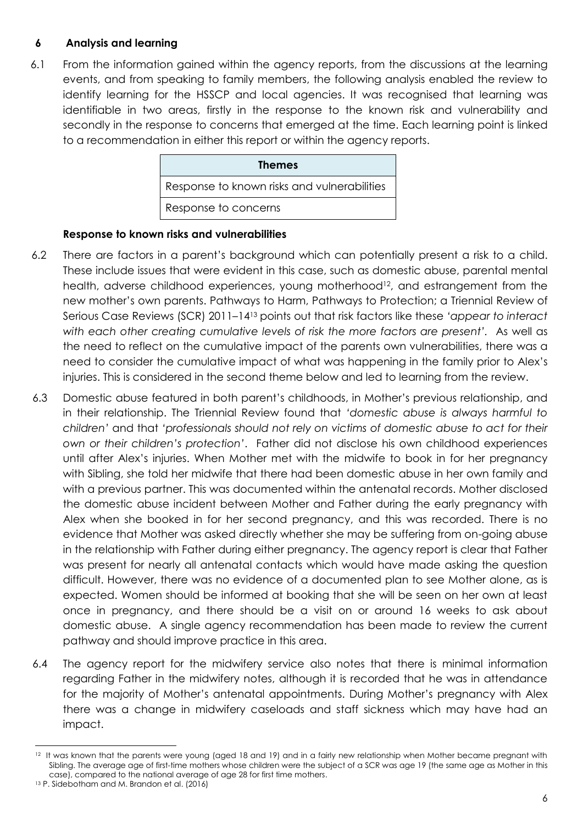#### **6 Analysis and learning**

6.1 From the information gained within the agency reports, from the discussions at the learning events, and from speaking to family members, the following analysis enabled the review to identify learning for the HSSCP and local agencies. It was recognised that learning was identifiable in two areas, firstly in the response to the known risk and vulnerability and secondly in the response to concerns that emerged at the time. Each learning point is linked to a recommendation in either this report or within the agency reports.

| <b>Themes</b>                               |  |
|---------------------------------------------|--|
| Response to known risks and vulnerabilities |  |
| Response to concerns                        |  |

#### **Response to known risks and vulnerabilities**

- 6.2 There are factors in a parent's background which can potentially present a risk to a child. These include issues that were evident in this case, such as domestic abuse, parental mental health, adverse childhood experiences, young motherhood<sup>12</sup>, and estrangement from the new mother's own parents. Pathways to Harm, Pathways to Protection; a Triennial Review of Serious Case Reviews (SCR) 2011–14<sup>13</sup> points out that risk factors like these *'appear to interact with each other creating cumulative levels of risk the more factors are present'.* As well as the need to reflect on the cumulative impact of the parents own vulnerabilities, there was a need to consider the cumulative impact of what was happening in the family prior to Alex's injuries. This is considered in the second theme below and led to learning from the review.
- 6.3 Domestic abuse featured in both parent's childhoods, in Mother's previous relationship, and in their relationship. The Triennial Review found that *'domestic abuse is always harmful to children'* and that *'professionals should not rely on victims of domestic abuse to act for their own or their children's protection'*. Father did not disclose his own childhood experiences until after Alex's injuries. When Mother met with the midwife to book in for her pregnancy with Sibling, she told her midwife that there had been domestic abuse in her own family and with a previous partner. This was documented within the antenatal records. Mother disclosed the domestic abuse incident between Mother and Father during the early pregnancy with Alex when she booked in for her second pregnancy, and this was recorded. There is no evidence that Mother was asked directly whether she may be suffering from on-going abuse in the relationship with Father during either pregnancy. The agency report is clear that Father was present for nearly all antenatal contacts which would have made asking the question difficult. However, there was no evidence of a documented plan to see Mother alone, as is expected. Women should be informed at booking that she will be seen on her own at least once in pregnancy, and there should be a visit on or around 16 weeks to ask about domestic abuse. A single agency recommendation has been made to review the current pathway and should improve practice in this area.
- 6.4 The agency report for the midwifery service also notes that there is minimal information regarding Father in the midwifery notes, although it is recorded that he was in attendance for the majority of Mother's antenatal appointments. During Mother's pregnancy with Alex there was a change in midwifery caseloads and staff sickness which may have had an impact.

<sup>-</sup>12 It was known that the parents were young (aged 18 and 19) and in a fairly new relationship when Mother became pregnant with Sibling. The average age of first-time mothers whose children were the subject of a SCR was age 19 (the same age as Mother in this case), compared to the national average of age 28 for first time mothers.

<sup>13</sup> P. Sidebotham and M. Brandon et al. (2016)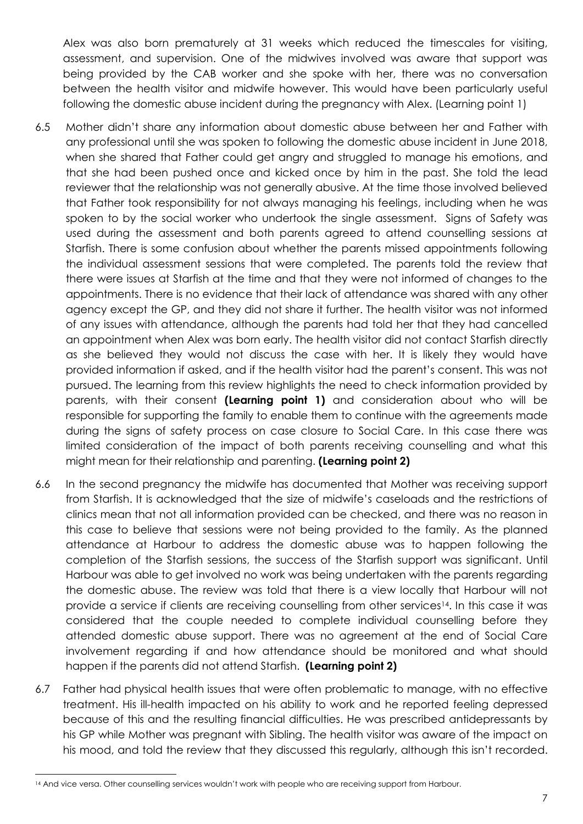Alex was also born prematurely at 31 weeks which reduced the timescales for visiting, assessment, and supervision. One of the midwives involved was aware that support was being provided by the CAB worker and she spoke with her, there was no conversation between the health visitor and midwife however. This would have been particularly useful following the domestic abuse incident during the pregnancy with Alex. (Learning point 1)

- 6.5 Mother didn't share any information about domestic abuse between her and Father with any professional until she was spoken to following the domestic abuse incident in June 2018, when she shared that Father could get angry and struggled to manage his emotions, and that she had been pushed once and kicked once by him in the past. She told the lead reviewer that the relationship was not generally abusive. At the time those involved believed that Father took responsibility for not always managing his feelings, including when he was spoken to by the social worker who undertook the single assessment. Signs of Safety was used during the assessment and both parents agreed to attend counselling sessions at Starfish. There is some confusion about whether the parents missed appointments following the individual assessment sessions that were completed. The parents told the review that there were issues at Starfish at the time and that they were not informed of changes to the appointments. There is no evidence that their lack of attendance was shared with any other agency except the GP, and they did not share it further. The health visitor was not informed of any issues with attendance, although the parents had told her that they had cancelled an appointment when Alex was born early. The health visitor did not contact Starfish directly as she believed they would not discuss the case with her. It is likely they would have provided information if asked, and if the health visitor had the parent's consent. This was not pursued. The learning from this review highlights the need to check information provided by parents, with their consent **(Learning point 1)** and consideration about who will be responsible for supporting the family to enable them to continue with the agreements made during the signs of safety process on case closure to Social Care. In this case there was limited consideration of the impact of both parents receiving counselling and what this might mean for their relationship and parenting. **(Learning point 2)**
- 6.6 In the second pregnancy the midwife has documented that Mother was receiving support from Starfish. It is acknowledged that the size of midwife's caseloads and the restrictions of clinics mean that not all information provided can be checked, and there was no reason in this case to believe that sessions were not being provided to the family. As the planned attendance at Harbour to address the domestic abuse was to happen following the completion of the Starfish sessions, the success of the Starfish support was significant. Until Harbour was able to get involved no work was being undertaken with the parents regarding the domestic abuse. The review was told that there is a view locally that Harbour will not provide a service if clients are receiving counselling from other services<sup>14</sup>. In this case it was considered that the couple needed to complete individual counselling before they attended domestic abuse support. There was no agreement at the end of Social Care involvement regarding if and how attendance should be monitored and what should happen if the parents did not attend Starfish. **(Learning point 2)**
- 6.7 Father had physical health issues that were often problematic to manage, with no effective treatment. His ill-health impacted on his ability to work and he reported feeling depressed because of this and the resulting financial difficulties. He was prescribed antidepressants by his GP while Mother was pregnant with Sibling. The health visitor was aware of the impact on his mood, and told the review that they discussed this regularly, although this isn't recorded.

-

<sup>14</sup> And vice versa. Other counselling services wouldn't work with people who are receiving support from Harbour.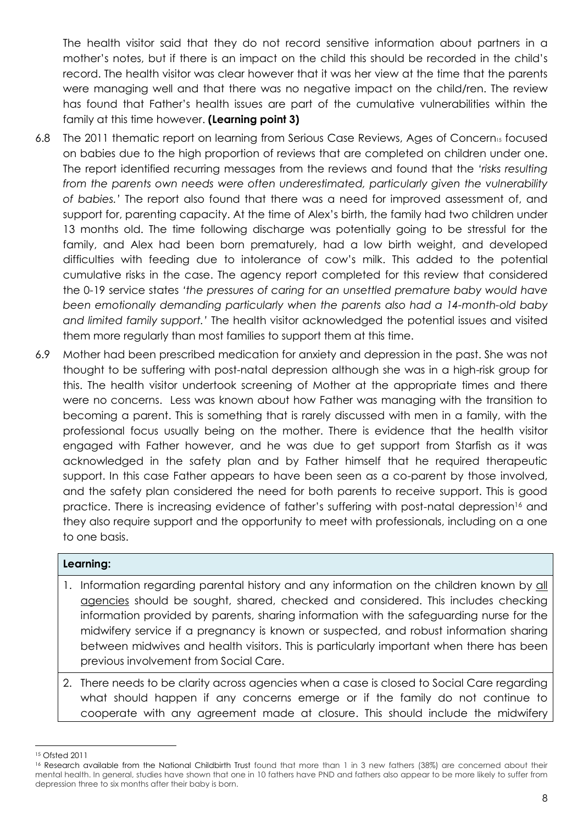The health visitor said that they do not record sensitive information about partners in a mother's notes, but if there is an impact on the child this should be recorded in the child's record. The health visitor was clear however that it was her view at the time that the parents were managing well and that there was no negative impact on the child/ren. The review has found that Father's health issues are part of the cumulative vulnerabilities within the family at this time however. **(Learning point 3)**

- 6.8 The 2011 thematic report on learning from Serious Case Reviews, Ages of Concern<sub>15</sub> focused on babies due to the high proportion of reviews that are completed on children under one. The report identified recurring messages from the reviews and found that the *'risks resulting from the parents own needs were often underestimated, particularly given the vulnerability of babies.'* The report also found that there was a need for improved assessment of, and support for, parenting capacity. At the time of Alex's birth, the family had two children under 13 months old. The time following discharge was potentially going to be stressful for the family, and Alex had been born prematurely, had a low birth weight, and developed difficulties with feeding due to intolerance of cow's milk. This added to the potential cumulative risks in the case. The agency report completed for this review that considered the 0-19 service states *'the pressures of caring for an unsettled premature baby would have been emotionally demanding particularly when the parents also had a 14-month-old baby and limited family support.'* The health visitor acknowledged the potential issues and visited them more regularly than most families to support them at this time.
- 6.9 Mother had been prescribed medication for anxiety and depression in the past. She was not thought to be suffering with post-natal depression although she was in a high-risk group for this. The health visitor undertook screening of Mother at the appropriate times and there were no concerns. Less was known about how Father was managing with the transition to becoming a parent. This is something that is rarely discussed with men in a family, with the professional focus usually being on the mother. There is evidence that the health visitor engaged with Father however, and he was due to get support from Starfish as it was acknowledged in the safety plan and by Father himself that he required therapeutic support. In this case Father appears to have been seen as a co-parent by those involved, and the safety plan considered the need for both parents to receive support. This is good practice. There is increasing evidence of father's suffering with post-natal depression<sup>16</sup> and they also require support and the opportunity to meet with professionals, including on a one to one basis.

#### **Learning:**

- 1. Information regarding parental history and any information on the children known by all agencies should be sought, shared, checked and considered. This includes checking information provided by parents, sharing information with the safeguarding nurse for the midwifery service if a pregnancy is known or suspected, and robust information sharing between midwives and health visitors. This is particularly important when there has been previous involvement from Social Care.
- 2. There needs to be clarity across agencies when a case is closed to Social Care regarding what should happen if any concerns emerge or if the family do not continue to cooperate with any agreement made at closure. This should include the midwifery

<sup>-</sup><sup>15</sup> Ofsted 2011

<sup>16</sup> Research available from the National Childbirth Trust found that more than 1 in 3 new fathers (38%) are concerned about their mental health. In general, studies have shown that one in 10 fathers have PND and fathers also appear to be more likely to suffer from depression three to six months after their baby is born.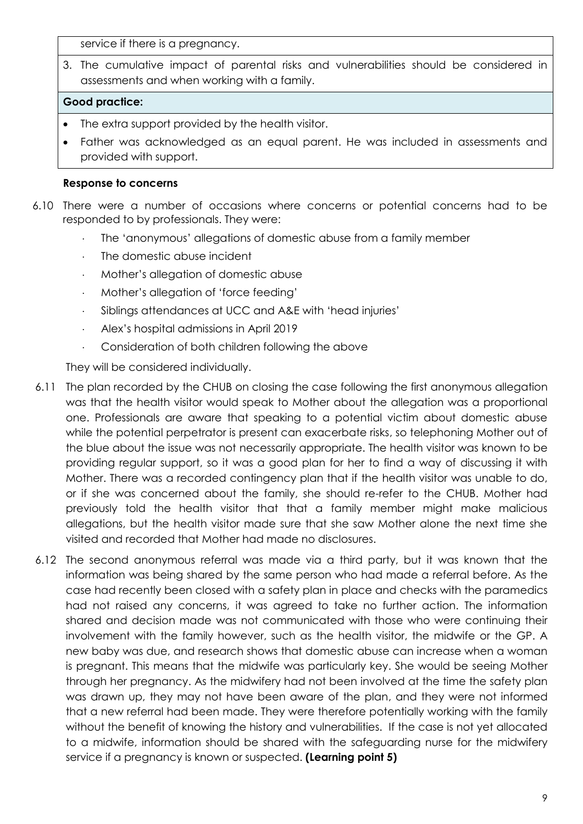service if there is a pregnancy.

3. The cumulative impact of parental risks and vulnerabilities should be considered in assessments and when working with a family.

#### **Good practice:**

- The extra support provided by the health visitor.
- Father was acknowledged as an equal parent. He was included in assessments and provided with support.

#### **Response to concerns**

- 6.10 There were a number of occasions where concerns or potential concerns had to be responded to by professionals. They were:
	- The 'anonymous' allegations of domestic abuse from a family member
	- The domestic abuse incident
	- Mother's allegation of domestic abuse
	- Mother's allegation of 'force feeding'
	- Siblings attendances at UCC and A&E with 'head injuries'
	- Alex's hospital admissions in April 2019
	- Consideration of both children following the above

They will be considered individually.

- 6.11 The plan recorded by the CHUB on closing the case following the first anonymous allegation was that the health visitor would speak to Mother about the allegation was a proportional one. Professionals are aware that speaking to a potential victim about domestic abuse while the potential perpetrator is present can exacerbate risks, so telephoning Mother out of the blue about the issue was not necessarily appropriate. The health visitor was known to be providing regular support, so it was a good plan for her to find a way of discussing it with Mother. There was a recorded contingency plan that if the health visitor was unable to do, or if she was concerned about the family, she should re-refer to the CHUB. Mother had previously told the health visitor that that a family member might make malicious allegations, but the health visitor made sure that she saw Mother alone the next time she visited and recorded that Mother had made no disclosures.
- 6.12 The second anonymous referral was made via a third party, but it was known that the information was being shared by the same person who had made a referral before. As the case had recently been closed with a safety plan in place and checks with the paramedics had not raised any concerns, it was agreed to take no further action. The information shared and decision made was not communicated with those who were continuing their involvement with the family however, such as the health visitor, the midwife or the GP. A new baby was due, and research shows that domestic abuse can increase when a woman is pregnant. This means that the midwife was particularly key. She would be seeing Mother through her pregnancy. As the midwifery had not been involved at the time the safety plan was drawn up, they may not have been aware of the plan, and they were not informed that a new referral had been made. They were therefore potentially working with the family without the benefit of knowing the history and vulnerabilities. If the case is not yet allocated to a midwife, information should be shared with the safeguarding nurse for the midwifery service if a pregnancy is known or suspected. **(Learning point 5)**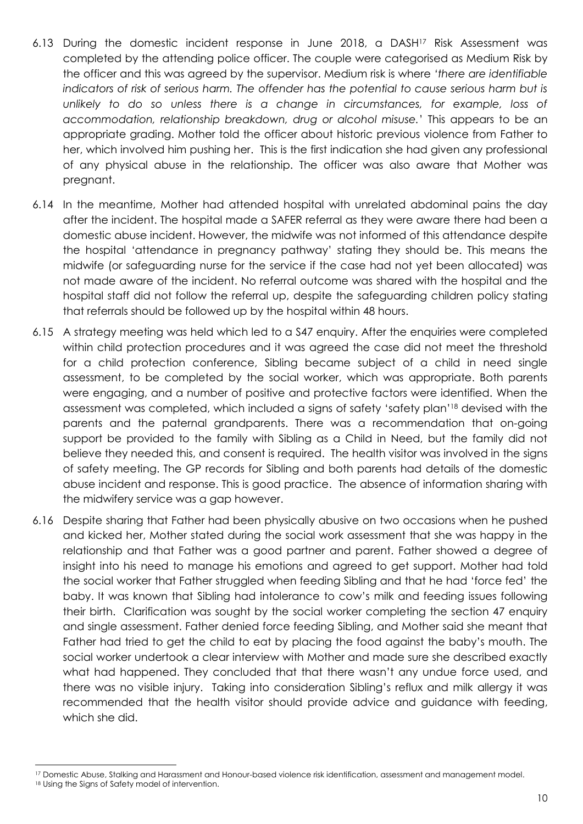- 6.13 During the domestic incident response in June 2018, a DASH<sup>17</sup> Risk Assessment was completed by the attending police officer. The couple were categorised as Medium Risk by the officer and this was agreed by the supervisor. Medium risk is where *'there are identifiable indicators of risk of serious harm. The offender has the potential to cause serious harm but is unlikely to do so unless there is a change in circumstances, for example, loss of accommodation, relationship breakdown, drug or alcohol misuse.*' This appears to be an appropriate grading. Mother told the officer about historic previous violence from Father to her, which involved him pushing her. This is the first indication she had given any professional of any physical abuse in the relationship. The officer was also aware that Mother was pregnant.
- 6.14 In the meantime, Mother had attended hospital with unrelated abdominal pains the day after the incident. The hospital made a SAFER referral as they were aware there had been a domestic abuse incident. However, the midwife was not informed of this attendance despite the hospital 'attendance in pregnancy pathway' stating they should be. This means the midwife (or safeguarding nurse for the service if the case had not yet been allocated) was not made aware of the incident. No referral outcome was shared with the hospital and the hospital staff did not follow the referral up, despite the safeguarding children policy stating that referrals should be followed up by the hospital within 48 hours.
- 6.15 A strategy meeting was held which led to a S47 enquiry. After the enquiries were completed within child protection procedures and it was agreed the case did not meet the threshold for a child protection conference, Sibling became subject of a child in need single assessment, to be completed by the social worker, which was appropriate. Both parents were engaging, and a number of positive and protective factors were identified. When the assessment was completed, which included a signs of safety 'safety plan' <sup>18</sup> devised with the parents and the paternal grandparents. There was a recommendation that on-going support be provided to the family with Sibling as a Child in Need, but the family did not believe they needed this, and consent is required. The health visitor was involved in the signs of safety meeting. The GP records for Sibling and both parents had details of the domestic abuse incident and response. This is good practice. The absence of information sharing with the midwifery service was a gap however.
- 6.16 Despite sharing that Father had been physically abusive on two occasions when he pushed and kicked her, Mother stated during the social work assessment that she was happy in the relationship and that Father was a good partner and parent. Father showed a degree of insight into his need to manage his emotions and agreed to get support. Mother had told the social worker that Father struggled when feeding Sibling and that he had 'force fed' the baby. It was known that Sibling had intolerance to cow's milk and feeding issues following their birth. Clarification was sought by the social worker completing the section 47 enquiry and single assessment. Father denied force feeding Sibling, and Mother said she meant that Father had tried to get the child to eat by placing the food against the baby's mouth. The social worker undertook a clear interview with Mother and made sure she described exactly what had happened. They concluded that that there wasn't any undue force used, and there was no visible injury. Taking into consideration Sibling's reflux and milk allergy it was recommended that the health visitor should provide advice and guidance with feeding, which she did.

 $\overline{a}$ 

<sup>17</sup> Domestic Abuse, Stalking and Harassment and Honour-based violence risk identification, assessment and management model.

<sup>18</sup> Using the Signs of Safety model of intervention.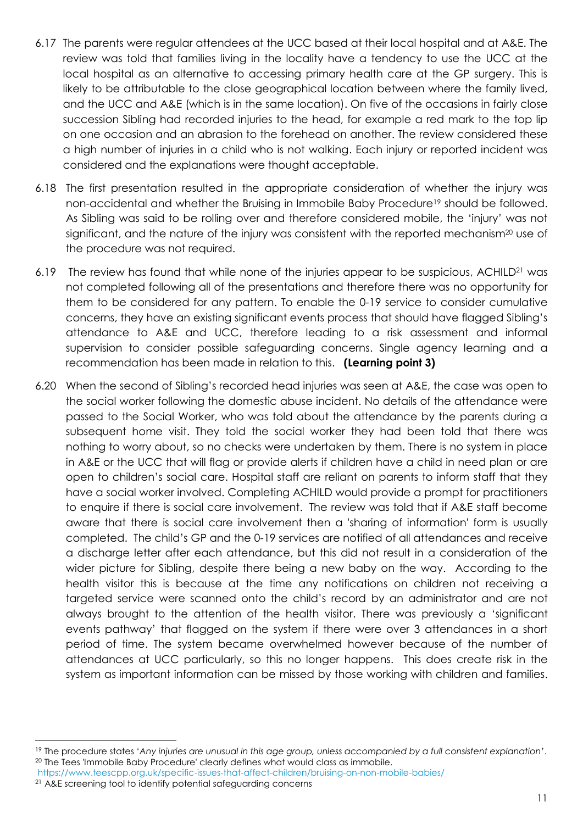- 6.17 The parents were regular attendees at the UCC based at their local hospital and at A&E. The review was told that families living in the locality have a tendency to use the UCC at the local hospital as an alternative to accessing primary health care at the GP surgery. This is likely to be attributable to the close geographical location between where the family lived, and the UCC and A&E (which is in the same location). On five of the occasions in fairly close succession Sibling had recorded injuries to the head, for example a red mark to the top lip on one occasion and an abrasion to the forehead on another. The review considered these a high number of injuries in a child who is not walking. Each injury or reported incident was considered and the explanations were thought acceptable.
- 6.18 The first presentation resulted in the appropriate consideration of whether the injury was non-accidental and whether the Bruising in Immobile Baby Procedure<sup>19</sup> should be followed. As Sibling was said to be rolling over and therefore considered mobile, the 'injury' was not significant, and the nature of the injury was consistent with the reported mechanism<sup>20</sup> use of the procedure was not required.
- 6.19 The review has found that while none of the injuries appear to be suspicious, ACHILD<sup>21</sup> was not completed following all of the presentations and therefore there was no opportunity for them to be considered for any pattern. To enable the 0-19 service to consider cumulative concerns, they have an existing significant events process that should have flagged Sibling's attendance to A&E and UCC, therefore leading to a risk assessment and informal supervision to consider possible safeguarding concerns. Single agency learning and a recommendation has been made in relation to this. **(Learning point 3)**
- 6.20 When the second of Sibling's recorded head injuries was seen at A&E, the case was open to the social worker following the domestic abuse incident. No details of the attendance were passed to the Social Worker, who was told about the attendance by the parents during a subsequent home visit. They told the social worker they had been told that there was nothing to worry about, so no checks were undertaken by them. There is no system in place in A&E or the UCC that will flag or provide alerts if children have a child in need plan or are open to children's social care. Hospital staff are reliant on parents to inform staff that they have a social worker involved. Completing ACHILD would provide a prompt for practitioners to enquire if there is social care involvement. The review was told that if A&E staff become aware that there is social care involvement then a 'sharing of information' form is usually completed. The child's GP and the 0-19 services are notified of all attendances and receive a discharge letter after each attendance, but this did not result in a consideration of the wider picture for Sibling, despite there being a new baby on the way. According to the health visitor this is because at the time any notifications on children not receiving a targeted service were scanned onto the child's record by an administrator and are not always brought to the attention of the health visitor. There was previously a 'significant events pathway' that flagged on the system if there were over 3 attendances in a short period of time. The system became overwhelmed however because of the number of attendances at UCC particularly, so this no longer happens. This does create risk in the system as important information can be missed by those working with children and families.

 $\overline{a}$ 

<sup>19</sup> The procedure states '*Any injuries are unusual in this age group, unless accompanied by a full consistent explanation'*. <sup>20</sup> The Tees 'Immobile Baby Procedure' clearly defines what would class as immobile.

<https://www.teescpp.org.uk/specific-issues-that-affect-children/bruising-on-non-mobile-babies/>

<sup>21</sup> A&E screening tool to identify potential safeguarding concerns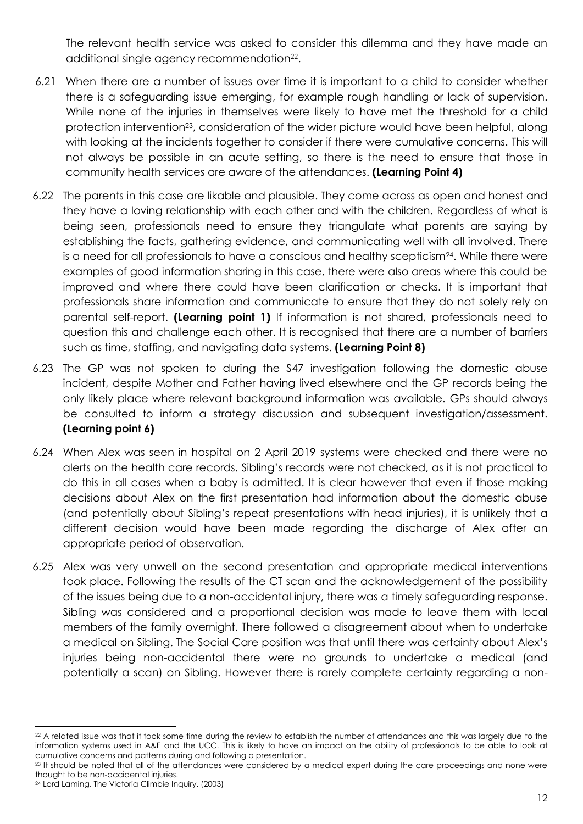The relevant health service was asked to consider this dilemma and they have made an additional single agency recommendation<sup>22</sup>.

- 6.21 When there are a number of issues over time it is important to a child to consider whether there is a safeguarding issue emerging, for example rough handling or lack of supervision. While none of the injuries in themselves were likely to have met the threshold for a child protection intervention<sup>23</sup>, consideration of the wider picture would have been helpful, along with looking at the incidents together to consider if there were cumulative concerns. This will not always be possible in an acute setting, so there is the need to ensure that those in community health services are aware of the attendances. **(Learning Point 4)**
- 6.22 The parents in this case are likable and plausible. They come across as open and honest and they have a loving relationship with each other and with the children. Regardless of what is being seen, professionals need to ensure they triangulate what parents are saying by establishing the facts, gathering evidence, and communicating well with all involved. There is a need for all professionals to have a conscious and healthy scepticism $^{24}$ . While there were examples of good information sharing in this case, there were also areas where this could be improved and where there could have been clarification or checks. It is important that professionals share information and communicate to ensure that they do not solely rely on parental self-report. **(Learning point 1)** If information is not shared, professionals need to question this and challenge each other. It is recognised that there are a number of barriers such as time, staffing, and navigating data systems. **(Learning Point 8)**
- 6.23 The GP was not spoken to during the S47 investigation following the domestic abuse incident, despite Mother and Father having lived elsewhere and the GP records being the only likely place where relevant background information was available. GPs should always be consulted to inform a strategy discussion and subsequent investigation/assessment. **(Learning point 6)**
- 6.24 When Alex was seen in hospital on 2 April 2019 systems were checked and there were no alerts on the health care records. Sibling's records were not checked, as it is not practical to do this in all cases when a baby is admitted. It is clear however that even if those making decisions about Alex on the first presentation had information about the domestic abuse (and potentially about Sibling's repeat presentations with head injuries), it is unlikely that a different decision would have been made regarding the discharge of Alex after an appropriate period of observation.
- 6.25 Alex was very unwell on the second presentation and appropriate medical interventions took place. Following the results of the CT scan and the acknowledgement of the possibility of the issues being due to a non-accidental injury, there was a timely safeguarding response. Sibling was considered and a proportional decision was made to leave them with local members of the family overnight. There followed a disagreement about when to undertake a medical on Sibling. The Social Care position was that until there was certainty about Alex's injuries being non-accidental there were no grounds to undertake a medical (and potentially a scan) on Sibling. However there is rarely complete certainty regarding a non-

<sup>-</sup><sup>22</sup> A related issue was that it took some time during the review to establish the number of attendances and this was largely due to the information systems used in A&E and the UCC. This is likely to have an impact on the ability of professionals to be able to look at cumulative concerns and patterns during and following a presentation.

<sup>&</sup>lt;sup>23</sup> It should be noted that all of the attendances were considered by a medical expert during the care proceedings and none were thought to be non-accidental injuries.

<sup>24</sup> Lord Laming. The Victoria Climbie Inquiry. (2003)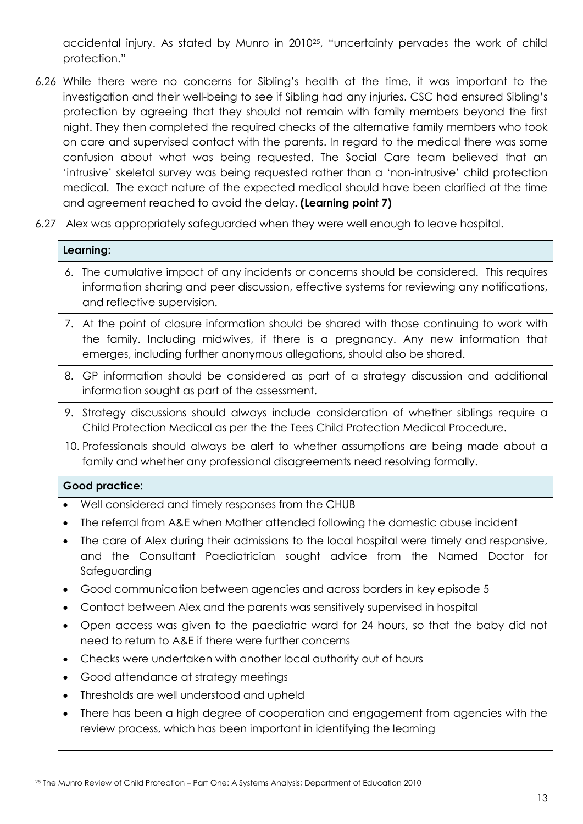accidental injury. As stated by Munro in 2010<sup>25</sup> , "uncertainty pervades the work of child protection."

- 6.26 While there were no concerns for Sibling's health at the time, it was important to the investigation and their well-being to see if Sibling had any injuries. CSC had ensured Sibling's protection by agreeing that they should not remain with family members beyond the first night. They then completed the required checks of the alternative family members who took on care and supervised contact with the parents. In regard to the medical there was some confusion about what was being requested. The Social Care team believed that an 'intrusive' skeletal survey was being requested rather than a 'non-intrusive' child protection medical. The exact nature of the expected medical should have been clarified at the time and agreement reached to avoid the delay. **(Learning point 7)**
- 6.27 Alex was appropriately safeguarded when they were well enough to leave hospital.

#### **Learning:**

- 6. The cumulative impact of any incidents or concerns should be considered. This requires information sharing and peer discussion, effective systems for reviewing any notifications, and reflective supervision.
- 7. At the point of closure information should be shared with those continuing to work with the family. Including midwives, if there is a pregnancy. Any new information that emerges, including further anonymous allegations, should also be shared.
- 8. GP information should be considered as part of a strategy discussion and additional information sought as part of the assessment.
- 9. Strategy discussions should always include consideration of whether siblings require a Child Protection Medical as per the the Tees Child Protection Medical Procedure.
- 10. Professionals should always be alert to whether assumptions are being made about a family and whether any professional disagreements need resolving formally.

#### **Good practice:**

 $\overline{a}$ 

- Well considered and timely responses from the CHUB
- The referral from A&E when Mother attended following the domestic abuse incident
- The care of Alex during their admissions to the local hospital were timely and responsive, and the Consultant Paediatrician sought advice from the Named Doctor for Safeguarding
- Good communication between agencies and across borders in key episode 5
- Contact between Alex and the parents was sensitively supervised in hospital
- Open access was given to the paediatric ward for 24 hours, so that the baby did not need to return to A&E if there were further concerns
- Checks were undertaken with another local authority out of hours
- Good attendance at strategy meetings
- Thresholds are well understood and upheld
- There has been a high degree of cooperation and engagement from agencies with the review process, which has been important in identifying the learning

<sup>25</sup> The Munro Review of Child Protection – Part One: A Systems Analysis; Department of Education 2010